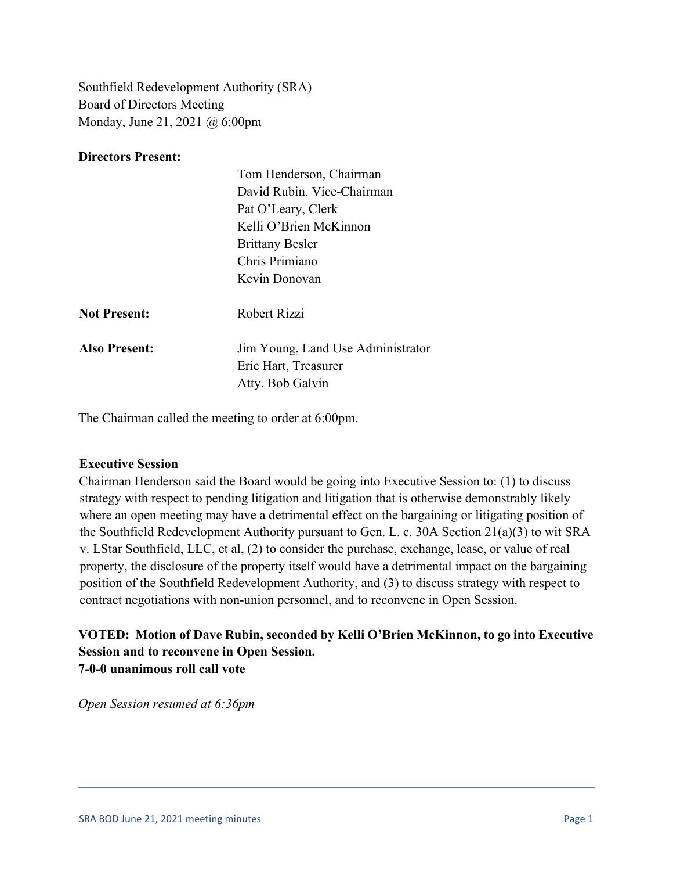Southfield Redevelopment Authority (SRA) Board of Directors Meeting Monday, June 21, 2021 @ 6:00pm

### **Directors Present:**

|                      | Tom Henderson, Chairman           |
|----------------------|-----------------------------------|
|                      | David Rubin, Vice-Chairman        |
|                      | Pat O'Leary, Clerk                |
|                      | Kelli O'Brien McKinnon            |
|                      | <b>Brittany Besler</b>            |
|                      | Chris Primiano                    |
|                      | Kevin Donovan                     |
| <b>Not Present:</b>  | Robert Rizzi                      |
| <b>Also Present:</b> | Jim Young, Land Use Administrator |
|                      | Eric Hart, Treasurer              |
|                      | Atty. Bob Galvin                  |

The Chairman called the meeting to order at 6:00pm.

### **Executive Session**

Chairman Henderson said the Board would be going into Executive Session to: (1) to discuss strategy with respect to pending litigation and litigation that is otherwise demonstrably likely where an open meeting may have a detrimental effect on the bargaining or litigating position of the Southfield Redevelopment Authority pursuant to Gen. L. c. 30A Section 21(a)(3) to wit SRA v. LStar Southfield, LLC, et al, (2) to consider the purchase, exchange, lease, or value of real property, the disclosure of the property itself would have a detrimental impact on the bargaining position of the Southfield Redevelopment Authority, and (3) to discuss strategy with respect to contract negotiations with non-union personnel, and to reconvene in Open Session.

### **VOTED: Motion of Dave Rubin, seconded by Kelli O'Brien McKinnon, to go into Executive Session and to reconvene in Open Session. 7-0-0 unanimous roll call vote**

*Open Session resumed at 6:36pm*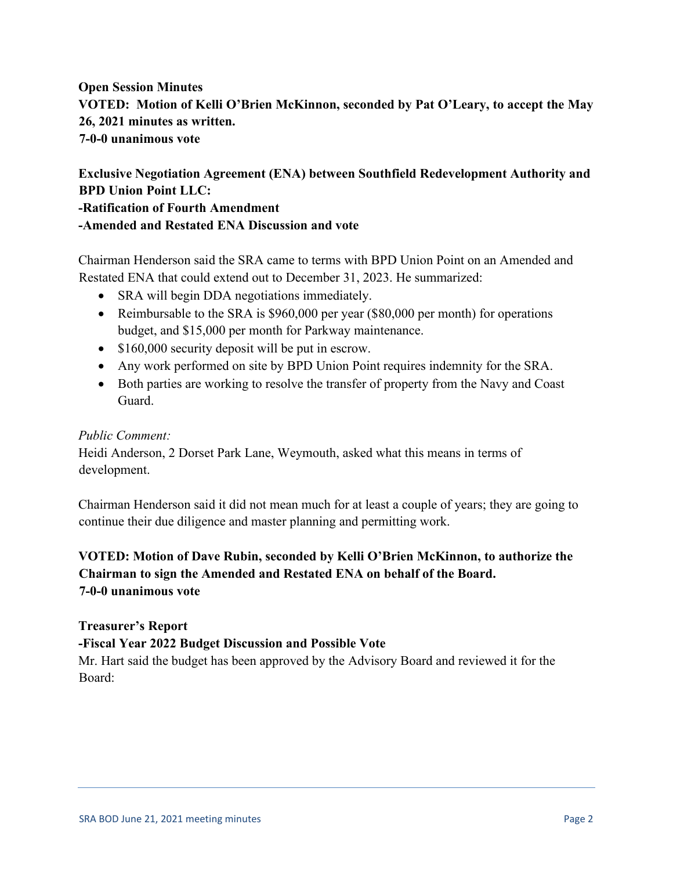# **Open Session Minutes VOTED: Motion of Kelli O'Brien McKinnon, seconded by Pat O'Leary, to accept the May 26, 2021 minutes as written. 7-0-0 unanimous vote**

# **Exclusive Negotiation Agreement (ENA) between Southfield Redevelopment Authority and BPD Union Point LLC: -Ratification of Fourth Amendment -Amended and Restated ENA Discussion and vote**

Chairman Henderson said the SRA came to terms with BPD Union Point on an Amended and Restated ENA that could extend out to December 31, 2023. He summarized:

- SRA will begin DDA negotiations immediately.
- Reimbursable to the SRA is \$960,000 per year (\$80,000 per month) for operations budget, and \$15,000 per month for Parkway maintenance.
- \$160,000 security deposit will be put in escrow.
- Any work performed on site by BPD Union Point requires indemnity for the SRA.
- Both parties are working to resolve the transfer of property from the Navy and Coast Guard.

### *Public Comment:*

Heidi Anderson, 2 Dorset Park Lane, Weymouth, asked what this means in terms of development.

Chairman Henderson said it did not mean much for at least a couple of years; they are going to continue their due diligence and master planning and permitting work.

# **VOTED: Motion of Dave Rubin, seconded by Kelli O'Brien McKinnon, to authorize the Chairman to sign the Amended and Restated ENA on behalf of the Board. 7-0-0 unanimous vote**

**Treasurer's Report** 

## **-Fiscal Year 2022 Budget Discussion and Possible Vote**

Mr. Hart said the budget has been approved by the Advisory Board and reviewed it for the Board: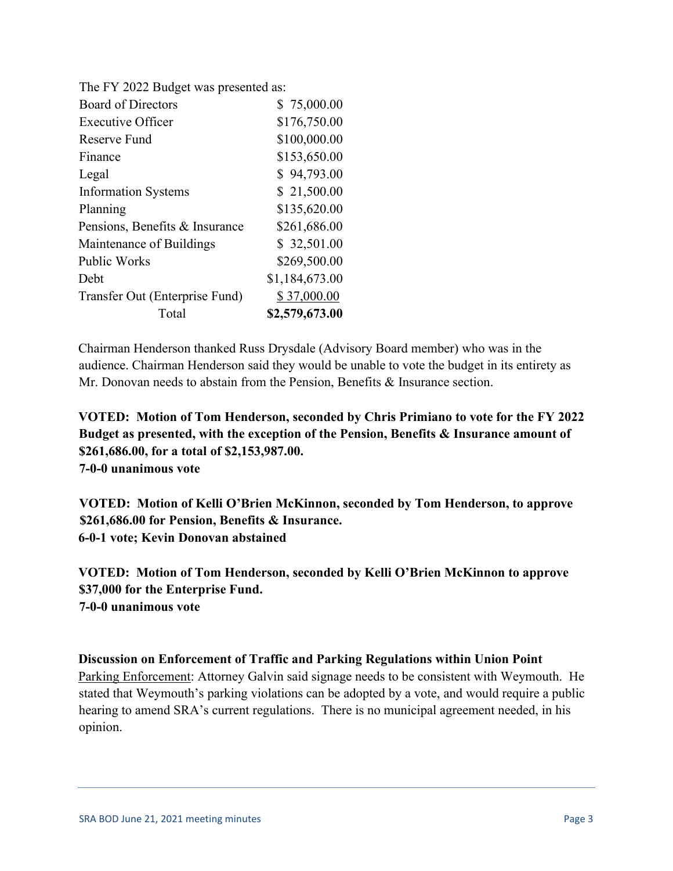| The FY 2022 Budget was presented as: |                |
|--------------------------------------|----------------|
| <b>Board of Directors</b>            | \$75,000.00    |
| <b>Executive Officer</b>             | \$176,750.00   |
| Reserve Fund                         | \$100,000.00   |
| Finance                              | \$153,650.00   |
| Legal                                | \$94,793.00    |
| <b>Information Systems</b>           | \$21,500.00    |
| Planning                             | \$135,620.00   |
| Pensions, Benefits & Insurance       | \$261,686.00   |
| Maintenance of Buildings             | \$32,501.00    |
| <b>Public Works</b>                  | \$269,500.00   |
| <b>Debt</b>                          | \$1,184,673.00 |
| Transfer Out (Enterprise Fund)       | \$37,000.00    |
| Total                                | \$2,579,673.00 |

Chairman Henderson thanked Russ Drysdale (Advisory Board member) who was in the audience. Chairman Henderson said they would be unable to vote the budget in its entirety as Mr. Donovan needs to abstain from the Pension, Benefits & Insurance section.

**VOTED: Motion of Tom Henderson, seconded by Chris Primiano to vote for the FY 2022 Budget as presented, with the exception of the Pension, Benefits & Insurance amount of \$261,686.00, for a total of \$2,153,987.00. 7-0-0 unanimous vote**

**VOTED: Motion of Kelli O'Brien McKinnon, seconded by Tom Henderson, to approve \$261,686.00 for Pension, Benefits & Insurance. 6-0-1 vote; Kevin Donovan abstained**

**VOTED: Motion of Tom Henderson, seconded by Kelli O'Brien McKinnon to approve \$37,000 for the Enterprise Fund. 7-0-0 unanimous vote**

## **Discussion on Enforcement of Traffic and Parking Regulations within Union Point**

Parking Enforcement: Attorney Galvin said signage needs to be consistent with Weymouth. He stated that Weymouth's parking violations can be adopted by a vote, and would require a public hearing to amend SRA's current regulations. There is no municipal agreement needed, in his opinion.